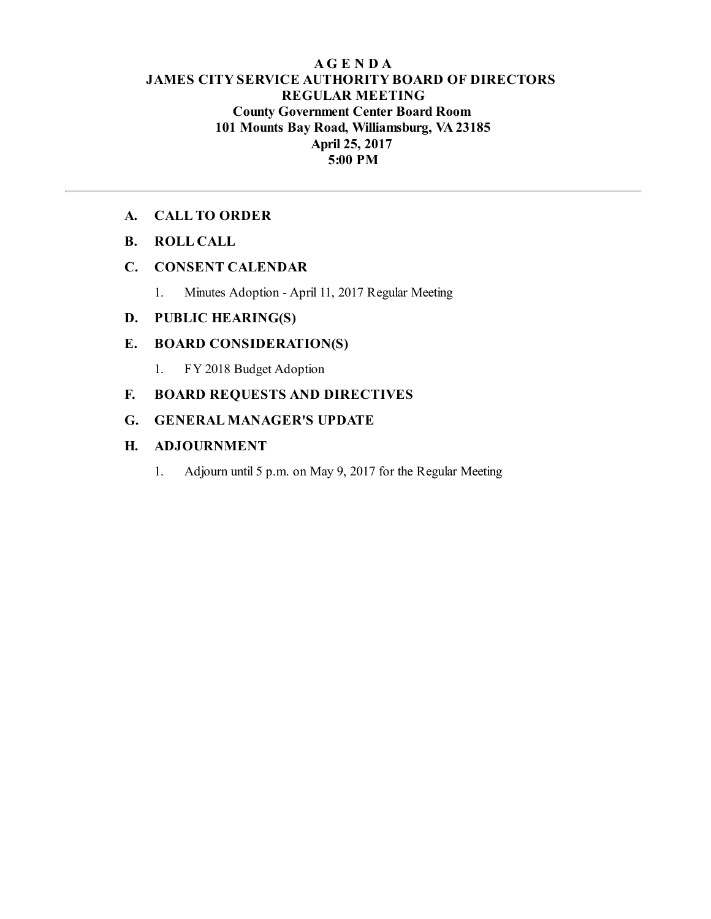## **AG E N D A JAMES CITY SERVICE AUTHORITY BOARD OF DIRECTORS REGULAR MEETING County Government Center Board Room 101 Mounts Bay Road, Williamsburg, VA23185 April 25, 2017 5:00 PM**

## **A. CALL TO ORDER**

**B. ROLL CALL**

## **C. CONSENT CALENDAR**

1. Minutes Adoption - April 11, 2017 Regular Meeting

# **D. PUBLIC HEARING(S)**

## **E. BOARD CONSIDERATION(S)**

1. FY 2018 Budget Adoption

# **F. BOARD REQUESTS AND DIRECTIVES**

## **G. GENERAL MANAGER'S UPDATE**

## **H. ADJOURNMENT**

1. Adjourn until 5 p.m. on May 9, 2017 for the Regular Meeting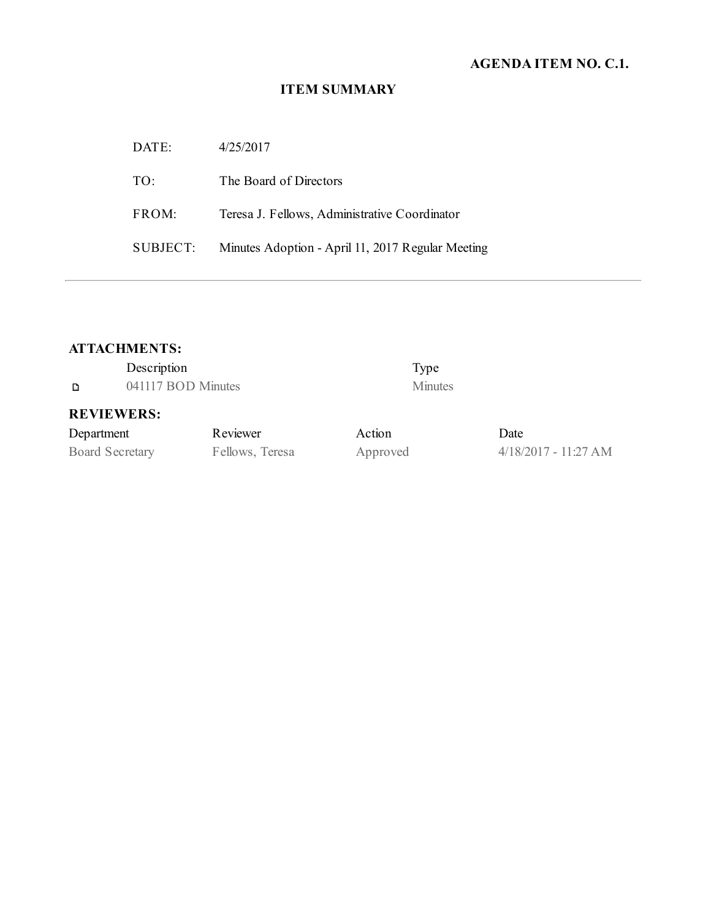# **AGENDA ITEM NO. C.1.**

## **ITEM SUMMARY**

| DATE:    | 4/25/2017                                         |
|----------|---------------------------------------------------|
| TO:      | The Board of Directors                            |
| FROM:    | Teresa J. Fellows, Administrative Coordinator     |
| SUBJECT: | Minutes Adoption - April 11, 2017 Regular Meeting |

## **ATTACHMENTS:**

| Description       |                    |        | Type           |  |
|-------------------|--------------------|--------|----------------|--|
| D                 | 041117 BOD Minutes |        | <b>Minutes</b> |  |
| <b>REVIEWERS:</b> |                    |        |                |  |
| Department        | Reviewer           | Action | Date           |  |

Board Secretary Fellows, Teresa Approved 4/18/2017 - 11:27 AM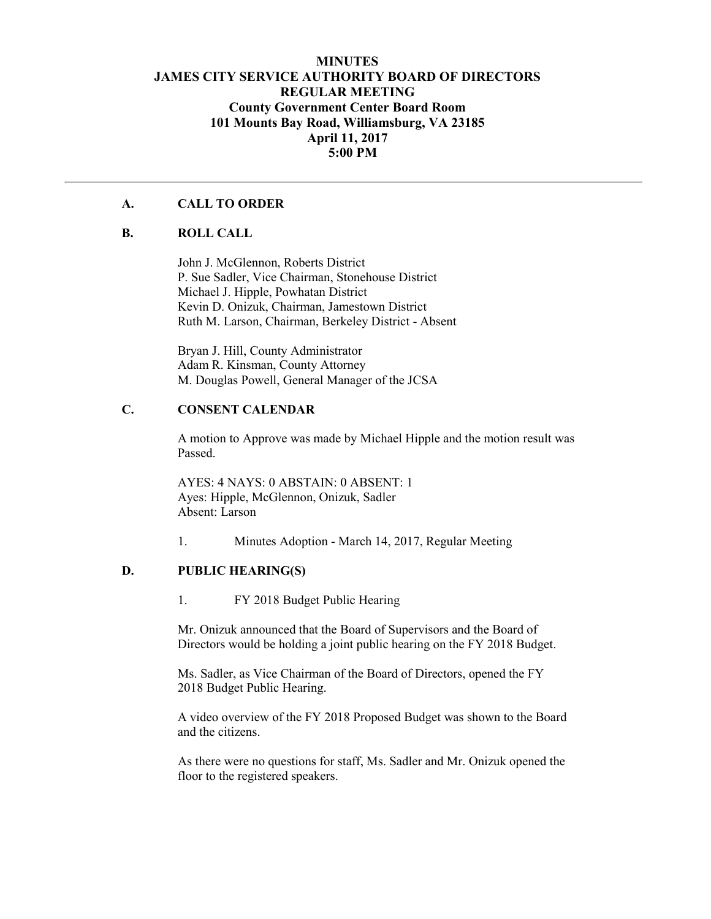### **MINUTES JAMES CITY SERVICE AUTHORITY BOARD OF DIRECTORS REGULAR MEETING County Government Center Board Room 101 Mounts Bay Road, Williamsburg, VA 23185 April 11, 2017 5:00 PM**

## **A. CALL TO ORDER**

#### **B. ROLL CALL**

John J. McGlennon, Roberts District P. Sue Sadler, Vice Chairman, Stonehouse District Michael J. Hipple, Powhatan District Kevin D. Onizuk, Chairman, Jamestown District Ruth M. Larson, Chairman, Berkeley District - Absent

Bryan J. Hill, County Administrator Adam R. Kinsman, County Attorney M. Douglas Powell, General Manager of the JCSA

### **C. CONSENT CALENDAR**

A motion to Approve was made by Michael Hipple and the motion result was Passed.

AYES: 4 NAYS: 0 ABSTAIN: 0 ABSENT: 1 Ayes: Hipple, McGlennon, Onizuk, Sadler Absent: Larson

1. Minutes Adoption - March 14, 2017, Regular Meeting

#### **D. PUBLIC HEARING(S)**

1. FY 2018 Budget Public Hearing

Mr. Onizuk announced that the Board of Supervisors and the Board of Directors would be holding a joint public hearing on the FY 2018 Budget.

Ms. Sadler, as Vice Chairman of the Board of Directors, opened the FY 2018 Budget Public Hearing.

A video overview of the FY 2018 Proposed Budget was shown to the Board and the citizens.

As there were no questions for staff, Ms. Sadler and Mr. Onizuk opened the floor to the registered speakers.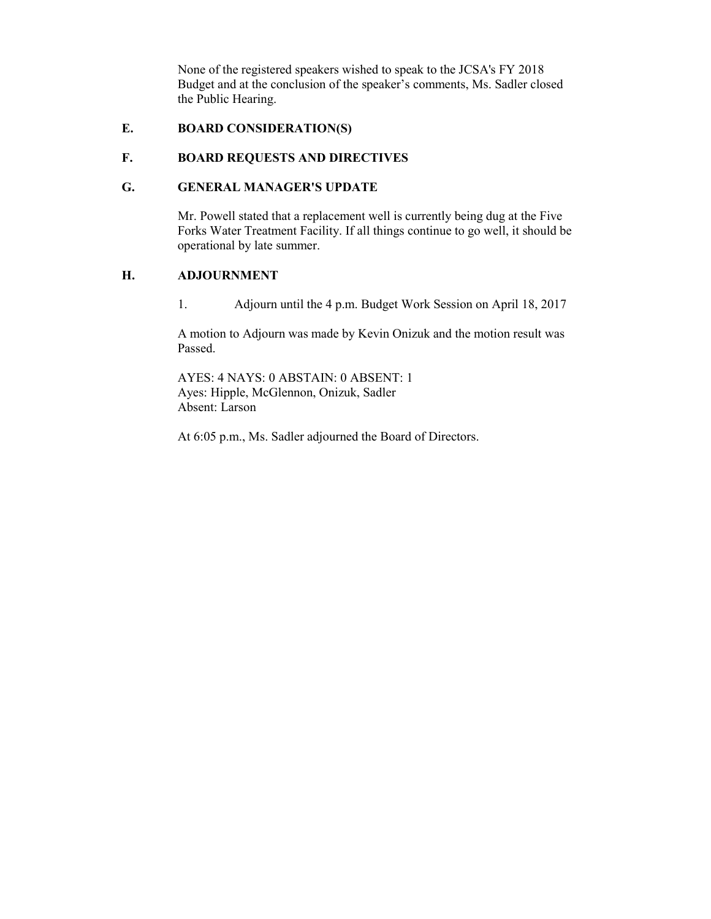None of the registered speakers wished to speak to the JCSA's FY 2018 Budget and at the conclusion of the speaker's comments, Ms. Sadler closed the Public Hearing.

## **E. BOARD CONSIDERATION(S)**

#### **F. BOARD REQUESTS AND DIRECTIVES**

### **G. GENERAL MANAGER'S UPDATE**

Mr. Powell stated that a replacement well is currently being dug at the Five Forks Water Treatment Facility. If all things continue to go well, it should be operational by late summer.

#### **H. ADJOURNMENT**

1. Adjourn until the 4 p.m. Budget Work Session on April 18, 2017

A motion to Adjourn was made by Kevin Onizuk and the motion result was Passed.

AYES: 4 NAYS: 0 ABSTAIN: 0 ABSENT: 1 Ayes: Hipple, McGlennon, Onizuk, Sadler Absent: Larson

At 6:05 p.m., Ms. Sadler adjourned the Board of Directors.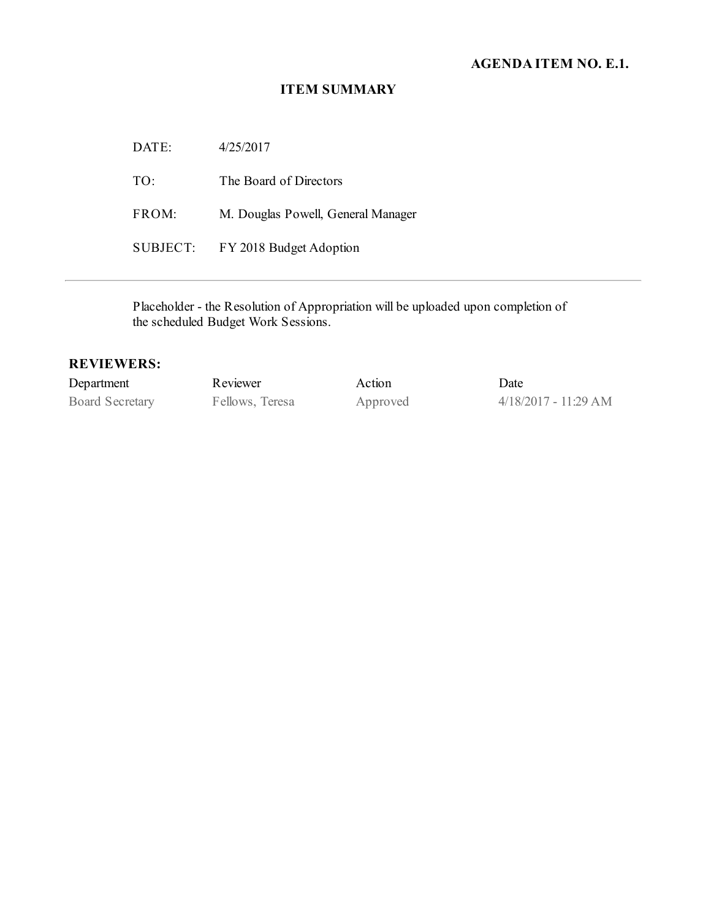## **AGENDA ITEM NO. E.1.**

#### **ITEM SUMMARY**

DATE: 4/25/2017 TO: The Board of Directors FROM: M. Douglas Powell, General Manager SUBJECT: FY 2018 Budget Adoption

Placeholder - the Resolution of Appropriation will be uploaded upon completion of the scheduled Budget Work Sessions.

### **REVIEWERS:**

| Department      | Reviewer        | Action   | Date                   |
|-----------------|-----------------|----------|------------------------|
| Board Secretary | Fellows, Teresa | Approved | $4/18/2017 - 11:29$ AM |